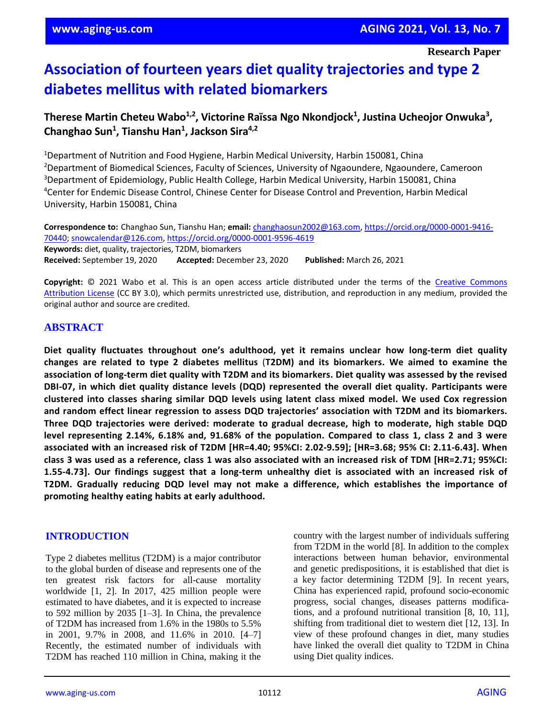**Research Paper**

# **Association of fourteen years diet quality trajectories and type 2 diabetes mellitus with related biomarkers**

**Therese Martin Cheteu Wabo1,2 , Victorine Raïssa Ngo Nkondjock<sup>1</sup> , Justina Ucheojor Onwuka<sup>3</sup> , Changhao Sun<sup>1</sup> , Tianshu Han<sup>1</sup> , Jackson Sira4,2**

<sup>1</sup>Department of Nutrition and Food Hygiene, Harbin Medical University, Harbin 150081, China <sup>2</sup>Department of Biomedical Sciences, Faculty of Sciences, University of Ngaoundere, Ngaoundere, Cameroon <sup>3</sup>Department of Epidemiology, Public Health College, Harbin Medical University, Harbin 150081, China <sup>4</sup>Center for Endemic Disease Control, Chinese Center for Disease Control and Prevention, Harbin Medical University, Harbin 150081, China

**Correspondence to:** Changhao Sun, Tianshu Han; **email:** [changhaosun2002@163.com,](mailto:changhaosun2002@163.com) [https://orcid.org/0000-0001-9416-](https://orcid.org/0000-0001-9416-70440) [70440;](https://orcid.org/0000-0001-9416-70440) [snowcalendar@126.com,](mailto:snowcalendar@126.com)<https://orcid.org/0000-0001-9596-4619> **Keywords:** diet, quality, trajectories, T2DM, biomarkers **Received:** September 19, 2020 **Accepted:** December 23, 2020 **Published:** March 26, 2021

**Copyright:** © 2021 Wabo et al. This is an open access article distributed under the terms of the [Creative Commons](https://creativecommons.org/licenses/by/3.0/)  [Attribution License](https://creativecommons.org/licenses/by/3.0/) (CC BY 3.0), which permits unrestricted use, distribution, and reproduction in any medium, provided the original author and source are credited.

## **ABSTRACT**

**Diet quality fluctuates throughout one's adulthood, yet it remains unclear how long-term diet quality changes are related to type 2 diabetes mellitus** (**T2DM) and its biomarkers. We aimed to examine the** association of long-term diet quality with T2DM and its biomarkers. Diet quality was assessed by the revised **DBI-07, in which diet quality distance levels (DQD) represented the overall diet quality. Participants were clustered into classes sharing similar DQD levels using latent class mixed model. We used Cox regression and random effect linear regression to assess DQD trajectories' association with T2DM and its biomarkers. Three DQD trajectories were derived: moderate to gradual decrease, high to moderate, high stable DQD** level representing 2.14%, 6.18% and, 91.68% of the population. Compared to class 1, class 2 and 3 were **associated with an increased risk of T2DM [HR=4.40; 95%CI: 2.02-9.59]; [HR=3.68; 95% CI: 2.11-6.43]. When** class 3 was used as a reference, class 1 was also associated with an increased risk of TDM [HR=2.71; 95%CI: **1.55-4.73]. Our findings suggest that a long-term unhealthy diet is associated with an increased risk of T2DM. Gradually reducing DQD level may not make a difference, which establishes the importance of promoting healthy eating habits at early adulthood.**

#### **INTRODUCTION**

Type 2 diabetes mellitus (T2DM) is a major contributor to the global burden of disease and represents one of the ten greatest risk factors for all-cause mortality worldwide [1, 2]. In 2017, 425 million people were estimated to have diabetes, and it is expected to increase to 592 million by 2035 [1–3]. In China, the prevalence of T2DM has increased from 1.6% in the 1980s to 5.5% in 2001, 9.7% in 2008, and 11.6% in 2010. [4–7] Recently, the estimated number of individuals with T2DM has reached 110 million in China, making it the country with the largest number of individuals suffering from T2DM in the world [8]. In addition to the complex interactions between human behavior, environmental and genetic predispositions, it is established that diet is a key factor determining T2DM [9]. In recent years, China has experienced rapid, profound socio-economic progress, social changes, diseases patterns modifications, and a profound nutritional transition [8, 10, 11], shifting from traditional diet to western diet [12, 13]. In view of these profound changes in diet, many studies have linked the overall diet quality to T2DM in China using Diet quality indices.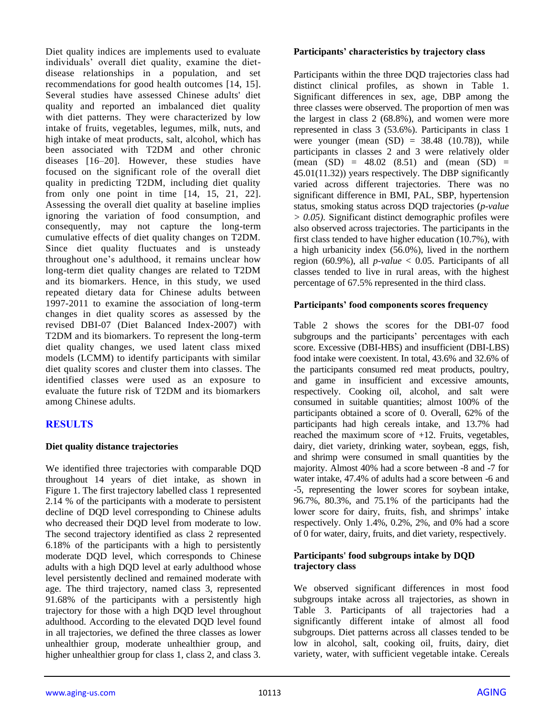Diet quality indices are implements used to evaluate individuals' overall diet quality, examine the dietdisease relationships in a population, and set recommendations for good health outcomes [14, 15]. Several studies have assessed Chinese adults' diet quality and reported an imbalanced diet quality with diet patterns. They were characterized by low intake of fruits, vegetables, legumes, milk, nuts, and high intake of meat products, salt, alcohol, which has been associated with T2DM and other chronic diseases [16–20]. However, these studies have focused on the significant role of the overall diet quality in predicting T2DM, including diet quality from only one point in time [14, 15, 21, 22]. Assessing the overall diet quality at baseline implies ignoring the variation of food consumption, and consequently, may not capture the long-term cumulative effects of diet quality changes on T2DM. Since diet quality fluctuates and is unsteady throughout one's adulthood, it remains unclear how long-term diet quality changes are related to T2DM and its biomarkers. Hence, in this study, we used repeated dietary data for Chinese adults between 1997-2011 to examine the association of long-term changes in diet quality scores as assessed by the revised DBI-07 (Diet Balanced Index-2007) with T2DM and its biomarkers. To represent the long-term diet quality changes, we used latent class mixed models (LCMM) to identify participants with similar diet quality scores and cluster them into classes. The identified classes were used as an exposure to evaluate the future risk of T2DM and its biomarkers among Chinese adults.

## **RESULTS**

#### **Diet quality distance trajectories**

We identified three trajectories with comparable DQD throughout 14 years of diet intake, as shown in Figure 1. The first trajectory labelled class 1 represented 2.14 % of the participants with a moderate to persistent decline of DQD level corresponding to Chinese adults who decreased their DQD level from moderate to low. The second trajectory identified as class 2 represented 6.18% of the participants with a high to persistently moderate DQD level, which corresponds to Chinese adults with a high DQD level at early adulthood whose level persistently declined and remained moderate with age. The third trajectory, named class 3, represented 91.68% of the participants with a persistently high trajectory for those with a high DQD level throughout adulthood. According to the elevated DQD level found in all trajectories, we defined the three classes as lower unhealthier group, moderate unhealthier group, and higher unhealthier group for class 1, class 2, and class 3.

#### **Participants' characteristics by trajectory class**

Participants within the three DQD trajectories class had distinct clinical profiles, as shown in Table 1. Significant differences in sex, age, DBP among the three classes were observed. The proportion of men was the largest in class 2 (68.8%), and women were more represented in class 3 (53.6%). Participants in class 1 were younger (mean  $(SD) = 38.48$   $(10.78)$ ), while participants in classes 2 and 3 were relatively older  $(mean (SD) = 48.02 (8.51) and (mean (SD) =$ 45.01(11.32)) years respectively. The DBP significantly varied across different trajectories. There was no significant difference in BMI, PAL, SBP, hypertension status, smoking status across DQD trajectories (*p-value > 0.05).* Significant distinct demographic profiles were also observed across trajectories. The participants in the first class tended to have higher education (10.7%), with a high urbanicity index (56.0%), lived in the northern region (60.9%), all *p-value* < 0.05. Participants of all classes tended to live in rural areas, with the highest percentage of 67.5% represented in the third class.

#### **Participants' food components scores frequency**

Table 2 shows the scores for the DBI-07 food subgroups and the participants' percentages with each score. Excessive (DBI-HBS) and insufficient (DBI-LBS) food intake were coexistent. In total, 43.6% and 32.6% of the participants consumed red meat products, poultry, and game in insufficient and excessive amounts, respectively. Cooking oil, alcohol, and salt were consumed in suitable quantities; almost 100% of the participants obtained a score of 0. Overall, 62% of the participants had high cereals intake, and 13.7% had reached the maximum score of  $+12$ . Fruits, vegetables, dairy, diet variety, drinking water, soybean, eggs, fish, and shrimp were consumed in small quantities by the majority. Almost 40% had a score between -8 and -7 for water intake, 47.4% of adults had a score between -6 and -5, representing the lower scores for soybean intake, 96.7%, 80.3%, and 75.1% of the participants had the lower score for dairy, fruits, fish, and shrimps' intake respectively. Only 1.4%, 0.2%, 2%, and 0% had a score of 0 for water, dairy, fruits, and diet variety, respectively.

#### **Participants' food subgroups intake by DQD trajectory class**

We observed significant differences in most food subgroups intake across all trajectories, as shown in Table 3. Participants of all trajectories had a significantly different intake of almost all food subgroups. Diet patterns across all classes tended to be low in alcohol, salt, cooking oil, fruits, dairy, diet variety, water, with sufficient vegetable intake. Cereals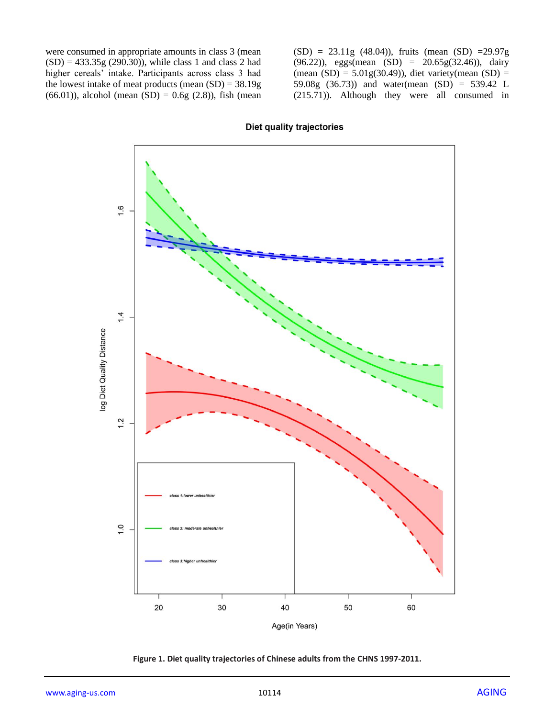were consumed in appropriate amounts in class 3 (mean  $(SD) = 433.35g (290.30)$ , while class 1 and class 2 had higher cereals' intake. Participants across class 3 had the lowest intake of meat products (mean (SD) = 38.19g (66.01)), alcohol (mean (SD) =  $0.6g$  (2.8)), fish (mean

 $(SD) = 23.11g$  (48.04)), fruits (mean  $(SD) = 29.97g$  $(96.22)$ ), eggs(mean  $(SD) = 20.65g(32.46)$ ), dairy (mean  $(SD) = 5.01g(30.49)$ ), diet variety(mean  $(SD) =$ 59.08g (36.73)) and water(mean (SD) = 539.42 L (215.71)). Although they were all consumed in



**Diet quality trajectories** 

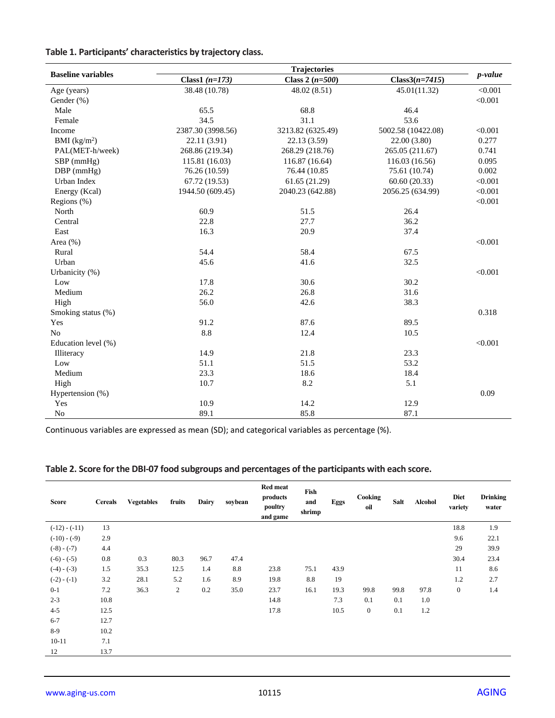| Table 1. Participants' characteristics by trajectory class. |  |  |
|-------------------------------------------------------------|--|--|
|-------------------------------------------------------------|--|--|

|                           |                   | <b>Trajectories</b> |                    |         |
|---------------------------|-------------------|---------------------|--------------------|---------|
| <b>Baseline variables</b> | Class1 $(n=173)$  | Class 2 $(n=500)$   | $Class3(n=7415)$   | p-value |
| Age (years)               | 38.48 (10.78)     | 48.02 (8.51)        | 45.01(11.32)       | < 0.001 |
| Gender (%)                |                   |                     |                    | < 0.001 |
| Male                      | 65.5              | 68.8                | 46.4               |         |
| Female                    | 34.5              | 31.1                | 53.6               |         |
| Income                    | 2387.30 (3998.56) | 3213.82 (6325.49)   | 5002.58 (10422.08) | < 0.001 |
| BMI (kg/m <sup>2</sup> )  | 22.11 (3.91)      | 22.13 (3.59)        | 22.00 (3.80)       | 0.277   |
| PAL(MET-h/week)           | 268.86 (219.34)   | 268.29 (218.76)     | 265.05 (211.67)    | 0.741   |
| $SBP$ (mmHg)              | 115.81 (16.03)    | 116.87 (16.64)      | 116.03 (16.56)     | 0.095   |
| $DBP$ (mmHg)              | 76.26 (10.59)     | 76.44 (10.85        | 75.61 (10.74)      | 0.002   |
| Urban Index               | 67.72 (19.53)     | 61.65 (21.29)       | 60.60 (20.33)      | < 0.001 |
| Energy (Kcal)             | 1944.50 (609.45)  | 2040.23 (642.88)    | 2056.25 (634.99)   | < 0.001 |
| Regions (%)               |                   |                     |                    | < 0.001 |
| North                     | 60.9              | 51.5                | 26.4               |         |
| Central                   | 22.8              | 27.7                | 36.2               |         |
| East                      | 16.3              | 20.9                | 37.4               |         |
| Area (%)                  |                   |                     |                    | < 0.001 |
| Rural                     | 54.4              | 58.4                | 67.5               |         |
| Urban                     | 45.6              | 41.6                | 32.5               |         |
| Urbanicity (%)            |                   |                     |                    | < 0.001 |
| Low                       | 17.8              | 30.6                | 30.2               |         |
| Medium                    | 26.2              | 26.8                | 31.6               |         |
| High                      | 56.0              | 42.6                | 38.3               |         |
| Smoking status (%)        |                   |                     |                    | 0.318   |
| Yes                       | 91.2              | 87.6                | 89.5               |         |
| N <sub>o</sub>            | 8.8               | 12.4                | 10.5               |         |
| Education level (%)       |                   |                     |                    | < 0.001 |
| Illiteracy                | 14.9              | 21.8                | 23.3               |         |
| Low                       | 51.1              | 51.5                | 53.2               |         |
| Medium                    | 23.3              | 18.6                | 18.4               |         |
| High                      | 10.7              | 8.2                 | 5.1                |         |
| Hypertension (%)          |                   |                     |                    | 0.09    |
| Yes                       | 10.9              | 14.2                | 12.9               |         |
| No                        | 89.1              | 85.8                | 87.1               |         |

Continuous variables are expressed as mean (SD); and categorical variables as percentage (%).

| Table 2. Score for the DBI-07 food subgroups and percentages of the participants with each score. |  |  |
|---------------------------------------------------------------------------------------------------|--|--|
|---------------------------------------------------------------------------------------------------|--|--|

| Score           | <b>Cereals</b> | <b>Vegetables</b> | fruits       | Dairy | soybean | Red meat<br>products<br>poultry<br>and game | Fish<br>and<br>shrimp | Eggs | Cooking<br>oil | <b>Salt</b> | <b>Alcohol</b> | <b>Diet</b><br>variety | <b>Drinking</b><br>water |
|-----------------|----------------|-------------------|--------------|-------|---------|---------------------------------------------|-----------------------|------|----------------|-------------|----------------|------------------------|--------------------------|
| $(-12) - (-11)$ | 13             |                   |              |       |         |                                             |                       |      |                |             |                | 18.8                   | 1.9                      |
| $(-10) - (-9)$  | 2.9            |                   |              |       |         |                                             |                       |      |                |             |                | 9.6                    | 22.1                     |
| $(-8) - (-7)$   | 4.4            |                   |              |       |         |                                             |                       |      |                |             |                | 29                     | 39.9                     |
| $(-6) - (-5)$   | 0.8            | 0.3               | 80.3         | 96.7  | 47.4    |                                             |                       |      |                |             |                | 30.4                   | 23.4                     |
| $(-4) - (-3)$   | 1.5            | 35.3              | 12.5         | 1.4   | 8.8     | 23.8                                        | 75.1                  | 43.9 |                |             |                | 11                     | 8.6                      |
| $(-2) - (-1)$   | 3.2            | 28.1              | 5.2          | 1.6   | 8.9     | 19.8                                        | 8.8                   | 19   |                |             |                | 1.2                    | 2.7                      |
| $0 - 1$         | 7.2            | 36.3              | $\mathbf{2}$ | 0.2   | 35.0    | 23.7                                        | 16.1                  | 19.3 | 99.8           | 99.8        | 97.8           | $\boldsymbol{0}$       | 1.4                      |
| $2 - 3$         | 10.8           |                   |              |       |         | 14.8                                        |                       | 7.3  | 0.1            | 0.1         | 1.0            |                        |                          |
| $4 - 5$         | 12.5           |                   |              |       |         | 17.8                                        |                       | 10.5 | $\mathbf{0}$   | 0.1         | 1.2            |                        |                          |
| $6 - 7$         | 12.7           |                   |              |       |         |                                             |                       |      |                |             |                |                        |                          |
| $8-9$           | 10.2           |                   |              |       |         |                                             |                       |      |                |             |                |                        |                          |
| $10 - 11$       | 7.1            |                   |              |       |         |                                             |                       |      |                |             |                |                        |                          |
| 12              | 13.7           |                   |              |       |         |                                             |                       |      |                |             |                |                        |                          |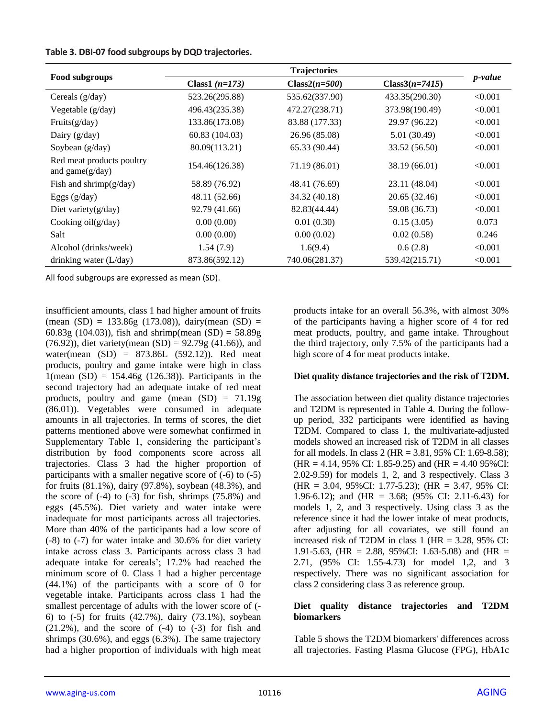#### **Table 3. DBI-07 food subgroups by DQD trajectories.**

|                                                 |                                     | <b>Trajectories</b> |                  |                 |  |
|-------------------------------------------------|-------------------------------------|---------------------|------------------|-----------------|--|
| Food subgroups                                  | Class1 $(n=173)$<br>$Class2(n=500)$ |                     | $Class3(n=7415)$ | <i>p</i> -value |  |
| Cereals $(g/day)$                               | 523.26(295.88)                      | 535.62(337.90)      | 433.35(290.30)   | < 0.001         |  |
| Vegetable $(g/day)$                             | 496.43(235.38)                      | 472.27(238.71)      | 373.98(190.49)   | < 0.001         |  |
| Fruits $(g/day)$                                | 133.86(173.08)                      | 83.88 (177.33)      | 29.97 (96.22)    | < 0.001         |  |
| Dairy $(g/day)$                                 | 60.83(104.03)                       | 26.96 (85.08)       | 5.01 (30.49)     | < 0.001         |  |
| Soybean (g/day)                                 | 80.09(113.21)                       | 65.33 (90.44)       | 33.52 (56.50)    | < 0.001         |  |
| Red meat products poultry<br>and game $(g/day)$ | 154.46(126.38)                      | 71.19 (86.01)       | 38.19 (66.01)    | < 0.001         |  |
| Fish and shrimp $(g/day)$                       | 58.89 (76.92)                       | 48.41 (76.69)       | 23.11 (48.04)    | < 0.001         |  |
| Eggs $(g/day)$                                  | 48.11 (52.66)                       | 34.32 (40.18)       | 20.65 (32.46)    | < 0.001         |  |
| Diet variety $(g/day)$                          | 92.79 (41.66)                       | 82.83(44.44)        | 59.08 (36.73)    | < 0.001         |  |
| Cooking $oil(g/day)$                            | 0.00(0.00)                          | 0.01(0.30)          | 0.15(3.05)       | 0.073           |  |
| Salt                                            | 0.00(0.00)                          | 0.00(0.02)          | 0.02(0.58)       | 0.246           |  |
| Alcohol (drinks/week)                           | 1.54(7.9)                           | 1.6(9.4)            | 0.6(2.8)         | < 0.001         |  |
| drinking water $(L/day)$                        | 873.86(592.12)                      | 740.06(281.37)      | 539.42(215.71)   | < 0.001         |  |

All food subgroups are expressed as mean (SD).

insufficient amounts, class 1 had higher amount of fruits  $(mean (SD) = 133.86g (173.08))$ , dairy(mean  $(SD) =$ 60.83g (104.03)), fish and shrimp(mean  $(SD) = 58.89g$ (76.92)), diet variety(mean  $(SD) = 92.79g$  (41.66)), and water(mean (SD) = 873.86L (592.12)). Red meat products, poultry and game intake were high in class  $1$ (mean (SD) = 154.46g (126.38)). Participants in the second trajectory had an adequate intake of red meat products, poultry and game (mean (SD) = 71.19g (86.01)). Vegetables were consumed in adequate amounts in all trajectories. In terms of scores, the diet patterns mentioned above were somewhat confirmed in Supplementary Table 1, considering the participant's distribution by food components score across all trajectories. Class 3 had the higher proportion of participants with a smaller negative score of (-6) to (-5) for fruits (81.1%), dairy (97.8%), soybean (48.3%), and the score of  $(-4)$  to  $(-3)$  for fish, shrimps  $(75.8\%)$  and eggs (45.5%). Diet variety and water intake were inadequate for most participants across all trajectories. More than 40% of the participants had a low score of (-8) to (-7) for water intake and 30.6% for diet variety intake across class 3. Participants across class 3 had adequate intake for cereals'; 17.2% had reached the minimum score of 0. Class 1 had a higher percentage (44.1%) of the participants with a score of 0 for vegetable intake. Participants across class 1 had the smallest percentage of adults with the lower score of (- 6) to (-5) for fruits (42.7%), dairy (73.1%), soybean  $(21.2\%)$ , and the score of  $(-4)$  to  $(-3)$  for fish and shrimps (30.6%), and eggs (6.3%). The same trajectory had a higher proportion of individuals with high meat

products intake for an overall 56.3%, with almost 30% of the participants having a higher score of 4 for red meat products, poultry, and game intake. Throughout the third trajectory, only 7.5% of the participants had a high score of 4 for meat products intake.

#### **Diet quality distance trajectories and the risk of T2DM.**

The association between diet quality distance trajectories and T2DM is represented in Table 4. During the followup period, 332 participants were identified as having T2DM. Compared to class 1, the multivariate-adjusted models showed an increased risk of T2DM in all classes for all models. In class 2 (HR = 3.81, 95% CI: 1.69-8.58);  $(HR = 4.14, 95\% \text{ CI: } 1.85 - 9.25)$  and  $(HR = 4.40, 95\% \text{CI: } 1.85 - 9.25)$ 2.02-9.59) for models 1, 2, and 3 respectively. Class 3 (HR = 3.04, 95%CI: 1.77-5.23); (HR = 3.47, 95% CI: 1.96-6.12); and (HR = 3.68; (95% CI: 2.11-6.43) for models 1, 2, and 3 respectively. Using class 3 as the reference since it had the lower intake of meat products, after adjusting for all covariates, we still found an increased risk of T2DM in class 1 ( $HR = 3.28$ , 95% CI: 1.91-5.63, (HR = 2.88, 95%CI: 1.63-5.08) and (HR = 2.71, (95% CI: 1.55-4.73) for model 1,2, and 3 respectively. There was no significant association for class 2 considering class 3 as reference group.

#### **Diet quality distance trajectories and T2DM biomarkers**

Table 5 shows the T2DM biomarkers' differences across all trajectories. Fasting Plasma Glucose (FPG), HbA1c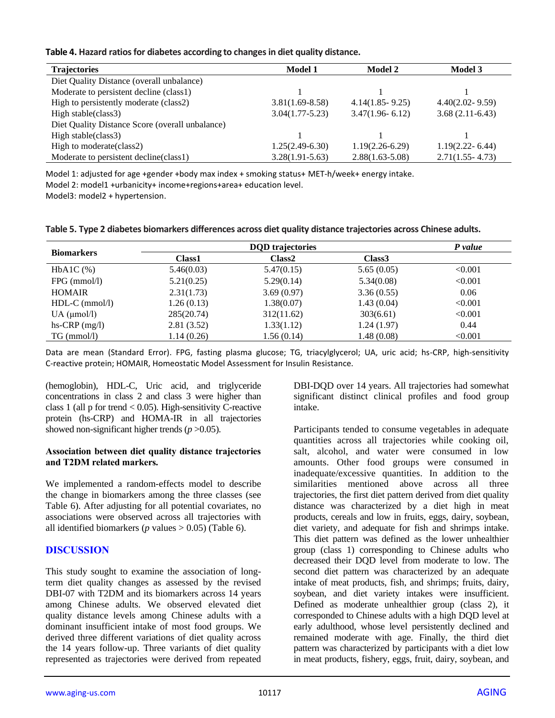#### **Table 4. Hazard ratios for diabetes according to changes in diet quality distance.**

| <b>Trajectories</b>                             | Model 1             | Model 2             | <b>Model 3</b>      |
|-------------------------------------------------|---------------------|---------------------|---------------------|
| Diet Quality Distance (overall unbalance)       |                     |                     |                     |
| Moderate to persistent decline (class1)         |                     |                     |                     |
| High to persistently moderate (class2)          | $3.81(1.69 - 8.58)$ | $4.14(1.85 - 9.25)$ | $4.40(2.02 - 9.59)$ |
| High stable(class3)                             | $3.04(1.77-5.23)$   | $3.47(1.96 - 6.12)$ | $3.68(2.11-6.43)$   |
| Diet Quality Distance Score (overall unbalance) |                     |                     |                     |
| High stable(class3)                             |                     |                     |                     |
| High to moderate (class2)                       | $1.25(2.49-6.30)$   | $1.19(2.26-6.29)$   | $1.19(2.22 - 6.44)$ |
| Moderate to persistent decline (class1)         | $3.28(1.91 - 5.63)$ | $2.88(1.63 - 5.08)$ | $2.71(1.55 - 4.73)$ |

Model 1: adjusted for age +gender +body max index + smoking status+ MET-h/week+ energy intake.

Model 2: model1 +urbanicity+ income+regions+area+ education level.

Model3: model2 + hypertension.

| Table 5. Type 2 diabetes biomarkers differences across diet quality distance trajectories across Chinese adults. |  |  |
|------------------------------------------------------------------------------------------------------------------|--|--|
|------------------------------------------------------------------------------------------------------------------|--|--|

| <b>Biomarkers</b>   |            | <b>DQD</b> trajectories |                    | P value |
|---------------------|------------|-------------------------|--------------------|---------|
|                     | Class1     | Class <sub>2</sub>      | Class <sub>3</sub> |         |
| $HbA1C$ $(\%)$      | 5.46(0.03) | 5.47(0.15)              | 5.65(0.05)         | < 0.001 |
| $FPG$ (mmol/l)      | 5.21(0.25) | 5.29(0.14)              | 5.34(0.08)         | < 0.001 |
| <b>HOMAIR</b>       | 2.31(1.73) | 3.69(0.97)              | 3.36(0.55)         | 0.06    |
| $HDL-C$ (mmol/l)    | 1.26(0.13) | 1.38(0.07)              | 1.43(0.04)         | < 0.001 |
| $UA$ ( $\mu$ mol/l) | 285(20.74) | 312(11.62)              | 303(6.61)          | < 0.001 |
| hs-CRP $(mg/l)$     | 2.81(3.52) | 1.33(1.12)              | 1.24(1.97)         | 0.44    |
| $TG \, (mmol/l)$    | 1.14(0.26) | 1.56(0.14)              | 1.48(0.08)         | < 0.001 |

Data are mean (Standard Error). FPG, fasting plasma glucose; TG, triacylglycerol; UA, uric acid; hs-CRP, high-sensitivity C-reactive protein; HOMAIR, Homeostatic Model Assessment for Insulin Resistance.

(hemoglobin), HDL-C, Uric acid, and triglyceride concentrations in class 2 and class 3 were higher than class 1 (all p for trend < 0.05). High-sensitivity C-reactive protein (hs-CRP) and HOMA-IR in all trajectories showed non-significant higher trends ( $p > 0.05$ ).

#### **Association between diet quality distance trajectories and T2DM related markers.**

We implemented a random-effects model to describe the change in biomarkers among the three classes (see Table 6). After adjusting for all potential covariates, no associations were observed across all trajectories with all identified biomarkers ( $p$  values  $> 0.05$ ) (Table 6).

## **DISCUSSION**

This study sought to examine the association of longterm diet quality changes as assessed by the revised DBI-07 with T2DM and its biomarkers across 14 years among Chinese adults. We observed elevated diet quality distance levels among Chinese adults with a dominant insufficient intake of most food groups. We derived three different variations of diet quality across the 14 years follow-up. Three variants of diet quality represented as trajectories were derived from repeated

DBI-DQD over 14 years. All trajectories had somewhat significant distinct clinical profiles and food group intake.

Participants tended to consume vegetables in adequate quantities across all trajectories while cooking oil, salt, alcohol, and water were consumed in low amounts. Other food groups were consumed in inadequate/excessive quantities. In addition to the similarities mentioned above across all three trajectories, the first diet pattern derived from diet quality distance was characterized by a diet high in meat products, cereals and low in fruits, eggs, dairy, soybean, diet variety, and adequate for fish and shrimps intake. This diet pattern was defined as the lower unhealthier group (class 1) corresponding to Chinese adults who decreased their DQD level from moderate to low. The second diet pattern was characterized by an adequate intake of meat products, fish, and shrimps; fruits, dairy, soybean, and diet variety intakes were insufficient. Defined as moderate unhealthier group (class 2), it corresponded to Chinese adults with a high DQD level at early adulthood, whose level persistently declined and remained moderate with age. Finally, the third diet pattern was characterized by participants with a diet low in meat products, fishery, eggs, fruit, dairy, soybean, and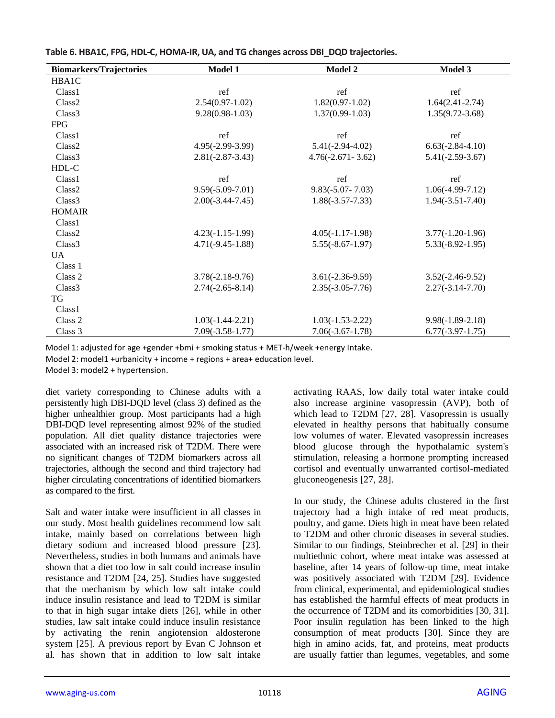| <b>Biomarkers/Trajectories</b> | Model 1              | Model 2               | Model 3             |
|--------------------------------|----------------------|-----------------------|---------------------|
| HBA1C                          |                      |                       |                     |
| Class <sub>1</sub>             | ref                  | ref                   | ref                 |
| Class <sub>2</sub>             | $2.54(0.97-1.02)$    | $1.82(0.97-1.02)$     | $1.64(2.41-2.74)$   |
| Class <sub>3</sub>             | $9.28(0.98-1.03)$    | $1.37(0.99-1.03)$     | $1.35(9.72 - 3.68)$ |
| <b>FPG</b>                     |                      |                       |                     |
| Class <sub>1</sub>             | ref                  | ref                   | ref                 |
| Class <sub>2</sub>             | $4.95(-2.99-3.99)$   | $5.41(-2.94-4.02)$    | $6.63(-2.84-4.10)$  |
| Class <sub>3</sub>             | $2.81(-2.87-3.43)$   | $4.76(-2.671 - 3.62)$ | $5.41(-2.59-3.67)$  |
| HDL-C                          |                      |                       |                     |
| Class <sub>1</sub>             | ref                  | ref                   | ref                 |
| Class <sub>2</sub>             | $9.59(-5.09-7.01)$   | $9.83(-5.07 - 7.03)$  | $1.06(-4.99-7.12)$  |
| Class <sub>3</sub>             | $2.00(-3.44 - 7.45)$ | $1.88(-3.57-7.33)$    | $1.94(-3.51-7.40)$  |
| <b>HOMAIR</b>                  |                      |                       |                     |
| Class <sub>1</sub>             |                      |                       |                     |
| Class <sub>2</sub>             | $4.23(-1.15-1.99)$   | $4.05(-1.17-1.98)$    | $3.77(-1.20-1.96)$  |
| Class <sub>3</sub>             | $4.71(-9.45-1.88)$   | $5.55(-8.67-1.97)$    | $5.33(-8.92-1.95)$  |
| $\overline{UA}$                |                      |                       |                     |
| Class 1                        |                      |                       |                     |
| Class 2                        | $3.78(-2.18-9.76)$   | $3.61(-2.36-9.59)$    | $3.52(-2.46-9.52)$  |
| Class <sub>3</sub>             | $2.74(-2.65-8.14)$   | $2.35(-3.05-7.76)$    | $2.27(-3.14-7.70)$  |
| TG                             |                      |                       |                     |
| Class <sub>1</sub>             |                      |                       |                     |
| Class 2                        | $1.03(-1.44-2.21)$   | $1.03(-1.53-2.22)$    | $9.98(-1.89-2.18)$  |
| Class 3                        | $7.09(-3.58-1.77)$   | $7.06(-3.67-1.78)$    | $6.77(-3.97-1.75)$  |

**Table 6. HBA1C, FPG, HDL-C, HOMA-IR, UA, and TG changes across DBI\_DQD trajectories.**

Model 1: adjusted for age +gender +bmi + smoking status + MET-h/week +energy Intake.

Model 2: model1 +urbanicity + income + regions + area+ education level.

Model 3: model2 + hypertension.

diet variety corresponding to Chinese adults with a persistently high DBI-DQD level (class 3) defined as the higher unhealthier group. Most participants had a high DBI-DQD level representing almost 92% of the studied population. All diet quality distance trajectories were associated with an increased risk of T2DM. There were no significant changes of T2DM biomarkers across all trajectories, although the second and third trajectory had higher circulating concentrations of identified biomarkers as compared to the first.

Salt and water intake were insufficient in all classes in our study. Most health guidelines recommend low salt intake, mainly based on correlations between high dietary sodium and increased blood pressure [23]. Nevertheless, studies in both humans and animals have shown that a diet too low in salt could increase insulin resistance and T2DM [24, 25]. Studies have suggested that the mechanism by which low salt intake could induce insulin resistance and lead to T2DM is similar to that in high sugar intake diets [26], while in other studies, law salt intake could induce insulin resistance by activating the renin angiotension aldosterone system [25]. A previous report by Evan C Johnson et al*.* has shown that in addition to low salt intake activating RAAS, low daily total water intake could also increase arginine vasopressin (AVP), both of which lead to T2DM [27, 28]. Vasopressin is usually elevated in healthy persons that habitually consume low volumes of water. Elevated vasopressin increases blood glucose through the hypothalamic system's stimulation, releasing a hormone prompting increased cortisol and eventually unwarranted cortisol-mediated gluconeogenesis [27, 28].

In our study, the Chinese adults clustered in the first trajectory had a high intake of red meat products, poultry, and game. Diets high in meat have been related to T2DM and other chronic diseases in several studies. Similar to our findings, Steinbrecher et al*.* [29] in their multiethnic cohort, where meat intake was assessed at baseline, after 14 years of follow-up time, meat intake was positively associated with T2DM [29]. Evidence from clinical, experimental, and epidemiological studies has established the harmful effects of meat products in the occurrence of T2DM and its comorbidities [30, 31]. Poor insulin regulation has been linked to the high consumption of meat products [30]. Since they are high in amino acids, fat, and proteins, meat products are usually fattier than legumes, vegetables, and some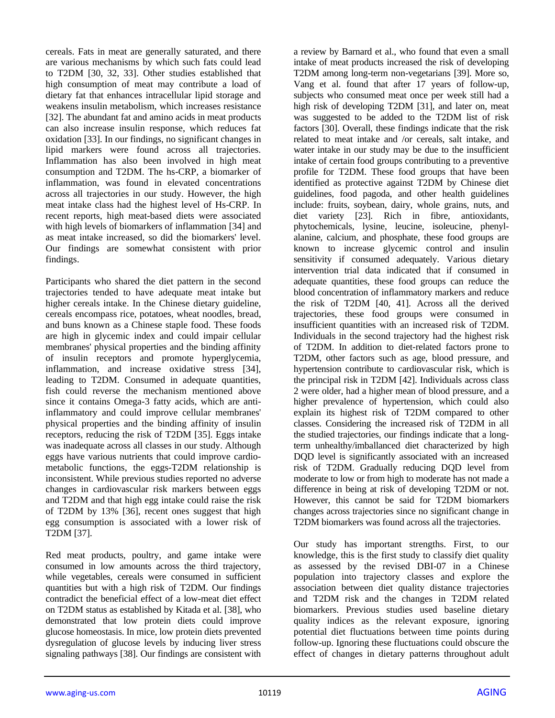cereals. Fats in meat are generally saturated, and there are various mechanisms by which such fats could lead to T2DM [30, 32, 33]. Other studies established that high consumption of meat may contribute a load of dietary fat that enhances intracellular lipid storage and weakens insulin metabolism, which increases resistance [32]. The abundant fat and amino acids in meat products can also increase insulin response, which reduces fat oxidation [33]. In our findings, no significant changes in lipid markers were found across all trajectories. Inflammation has also been involved in high meat consumption and T2DM. The hs-CRP, a biomarker of inflammation, was found in elevated concentrations across all trajectories in our study. However, the high meat intake class had the highest level of Hs-CRP. In recent reports, high meat-based diets were associated with high levels of biomarkers of inflammation [34] and as meat intake increased, so did the biomarkers' level. Our findings are somewhat consistent with prior findings.

Participants who shared the diet pattern in the second trajectories tended to have adequate meat intake but higher cereals intake. In the Chinese dietary guideline, cereals encompass rice, potatoes, wheat noodles, bread, and buns known as a Chinese staple food. These foods are high in glycemic index and could impair cellular membranes' physical properties and the binding affinity of insulin receptors and promote hyperglycemia, inflammation, and increase oxidative stress [34], leading to T2DM. Consumed in adequate quantities, fish could reverse the mechanism mentioned above since it contains Omega-3 fatty acids, which are antiinflammatory and could improve cellular membranes' physical properties and the binding affinity of insulin receptors, reducing the risk of T2DM [35]. Eggs intake was inadequate across all classes in our study. Although eggs have various nutrients that could improve cardiometabolic functions, the eggs-T2DM relationship is inconsistent. While previous studies reported no adverse changes in cardiovascular risk markers between eggs and T2DM and that high egg intake could raise the risk of T2DM by 13% [36], recent ones suggest that high egg consumption is associated with a lower risk of T2DM [37].

Red meat products, poultry, and game intake were consumed in low amounts across the third trajectory, while vegetables, cereals were consumed in sufficient quantities but with a high risk of T2DM. Our findings contradict the beneficial effect of a low-meat diet effect on T2DM status as established by Kitada et al. [38], who demonstrated that low protein diets could improve glucose homeostasis. In mice, low protein diets prevented dysregulation of glucose levels by inducing liver stress signaling pathways [38]. Our findings are consistent with a review by Barnard et al., who found that even a small intake of meat products increased the risk of developing T2DM among long-term non-vegetarians [39]. More so, Vang et al. found that after 17 years of follow-up, subjects who consumed meat once per week still had a high risk of developing T2DM [31], and later on, meat was suggested to be added to the T2DM list of risk factors [30]. Overall, these findings indicate that the risk related to meat intake and /or cereals, salt intake, and water intake in our study may be due to the insufficient intake of certain food groups contributing to a preventive profile for T2DM. These food groups that have been identified as protective against T2DM by Chinese diet guidelines, food pagoda, and other health guidelines include: fruits, soybean, dairy, whole grains, nuts, and diet variety [23]. Rich in fibre, antioxidants, phytochemicals, lysine, leucine, isoleucine, phenylalanine, calcium, and phosphate, these food groups are known to increase glycemic control and insulin sensitivity if consumed adequately. Various dietary intervention trial data indicated that if consumed in adequate quantities, these food groups can reduce the blood concentration of inflammatory markers and reduce the risk of T2DM [40, 41]. Across all the derived trajectories, these food groups were consumed in insufficient quantities with an increased risk of T2DM. Individuals in the second trajectory had the highest risk of T2DM. In addition to diet-related factors prone to T2DM, other factors such as age, blood pressure, and hypertension contribute to cardiovascular risk, which is the principal risk in T2DM [42]. Individuals across class 2 were older, had a higher mean of blood pressure, and a higher prevalence of hypertension, which could also explain its highest risk of T2DM compared to other classes. Considering the increased risk of T2DM in all the studied trajectories, our findings indicate that a longterm unhealthy/imballanced diet characterized by high DQD level is significantly associated with an increased risk of T2DM. Gradually reducing DQD level from moderate to low or from high to moderate has not made a difference in being at risk of developing T2DM or not. However, this cannot be said for T2DM biomarkers changes across trajectories since no significant change in T2DM biomarkers was found across all the trajectories.

Our study has important strengths. First, to our knowledge, this is the first study to classify diet quality as assessed by the revised DBI-07 in a Chinese population into trajectory classes and explore the association between diet quality distance trajectories and T2DM risk and the changes in T2DM related biomarkers. Previous studies used baseline dietary quality indices as the relevant exposure, ignoring potential diet fluctuations between time points during follow-up. Ignoring these fluctuations could obscure the effect of changes in dietary patterns throughout adult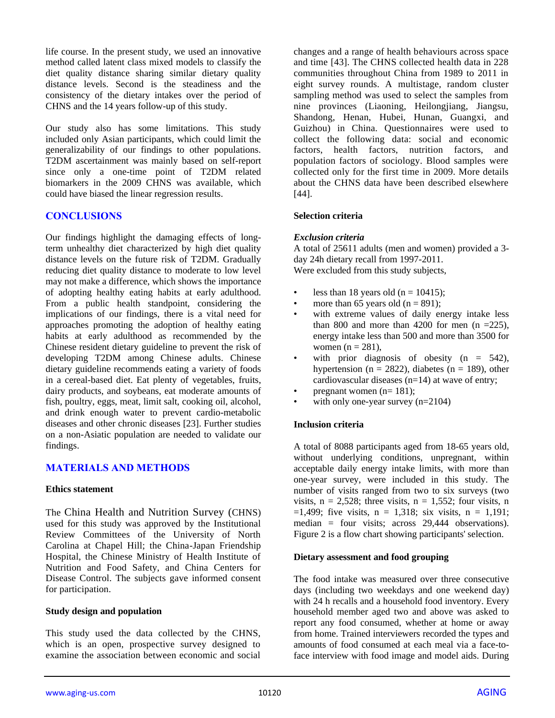life course. In the present study, we used an innovative method called latent class mixed models to classify the diet quality distance sharing similar dietary quality distance levels. Second is the steadiness and the consistency of the dietary intakes over the period of CHNS and the 14 years follow-up of this study.

Our study also has some limitations. This study included only Asian participants, which could limit the generalizability of our findings to other populations. T2DM ascertainment was mainly based on self-report since only a one-time point of T2DM related biomarkers in the 2009 CHNS was available, which could have biased the linear regression results.

## **CONCLUSIONS**

Our findings highlight the damaging effects of longterm unhealthy diet characterized by high diet quality distance levels on the future risk of T2DM. Gradually reducing diet quality distance to moderate to low level may not make a difference, which shows the importance of adopting healthy eating habits at early adulthood. From a public health standpoint, considering the implications of our findings, there is a vital need for approaches promoting the adoption of healthy eating habits at early adulthood as recommended by the Chinese resident dietary guideline to prevent the risk of developing T2DM among Chinese adults. Chinese dietary guideline recommends eating a variety of foods in a cereal-based diet. Eat plenty of vegetables, fruits, dairy products, and soybeans, eat moderate amounts of fish, poultry, eggs, meat, limit salt, cooking oil, alcohol, and drink enough water to prevent cardio-metabolic diseases and other chronic diseases [23]. Further studies on a non-Asiatic population are needed to validate our findings.

#### **MATERIALS AND METHODS**

#### **Ethics statement**

The China Health and Nutrition Survey (CHNS) used for this study was approved by the Institutional Review Committees of the University of North Carolina at Chapel Hill; the China-Japan Friendship Hospital, the Chinese Ministry of Health Institute of Nutrition and Food Safety, and China Centers for Disease Control. The subjects gave informed consent for participation.

#### **Study design and population**

This study used the data collected by the CHNS, which is an open, prospective survey designed to examine the association between economic and social changes and a range of health behaviours across space and time [43]. The CHNS collected health data in 228 communities throughout China from 1989 to 2011 in eight survey rounds. A multistage, random cluster sampling method was used to select the samples from nine provinces (Liaoning, Heilongjiang, Jiangsu, Shandong, Henan, Hubei, Hunan, Guangxi, and Guizhou) in China. Questionnaires were used to collect the following data: social and economic factors, health factors, nutrition factors, and population factors of sociology. Blood samples were collected only for the first time in 2009. More details about the CHNS data have been described elsewhere [44].

#### **Selection criteria**

#### *Exclusion criteria*

A total of 25611 adults (men and women) provided a 3 day 24h dietary recall from 1997-2011. Were excluded from this study subjects,

- less than 18 years old ( $n = 10415$ );
- more than 65 years old  $(n = 891)$ ;
- with extreme values of daily energy intake less than 800 and more than 4200 for men  $(n = 225)$ , energy intake less than 500 and more than 3500 for women  $(n = 281)$ ,
- with prior diagnosis of obesity  $(n = 542)$ , hypertension ( $n = 2822$ ), diabetes ( $n = 189$ ), other cardiovascular diseases (n=14) at wave of entry;
- pregnant women  $(n=181)$ :
- with only one-year survey  $(n=2104)$

#### **Inclusion criteria**

A total of 8088 participants aged from 18-65 years old, without underlying conditions, unpregnant, within acceptable daily energy intake limits, with more than one-year survey, were included in this study. The number of visits ranged from two to six surveys (two visits,  $n = 2,528$ ; three visits,  $n = 1,552$ ; four visits, n  $=1.499$ ; five visits,  $n = 1.318$ ; six visits,  $n = 1.191$ ; median = four visits; across 29,444 observations). Figure 2 is a flow chart showing participants' selection.

#### **Dietary assessment and food grouping**

The food intake was measured over three consecutive days (including two weekdays and one weekend day) with 24 h recalls and a household food inventory. Every household member aged two and above was asked to report any food consumed, whether at home or away from home. Trained interviewers recorded the types and amounts of food consumed at each meal via a face-toface interview with food image and model aids. During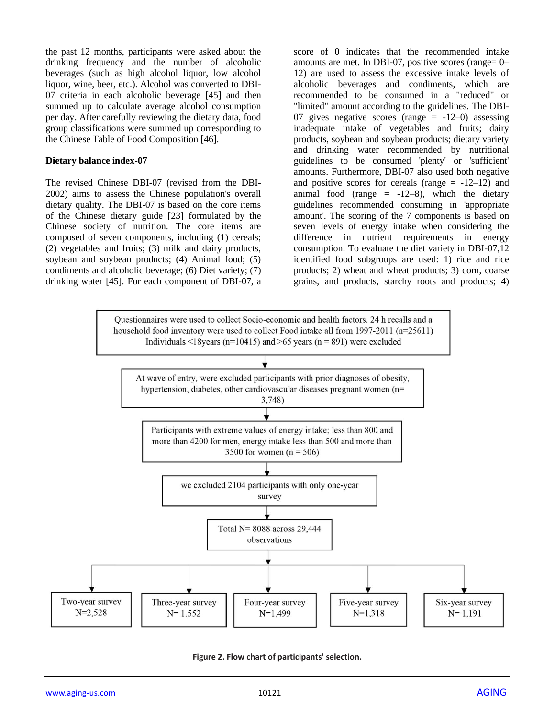the past 12 months, participants were asked about the drinking frequency and the number of alcoholic beverages (such as high alcohol liquor, low alcohol liquor, wine, beer, etc.). Alcohol was converted to DBI-07 criteria in each alcoholic beverage [45] and then summed up to calculate average alcohol consumption per day. After carefully reviewing the dietary data, food group classifications were summed up corresponding to the Chinese Table of Food Composition [46].

#### **Dietary balance index-07**

The revised Chinese DBI-07 (revised from the DBI-2002) aims to assess the Chinese population's overall dietary quality. The DBI-07 is based on the core items of the Chinese dietary guide [23] formulated by the Chinese society of nutrition. The core items are composed of seven components, including (1) cereals; (2) vegetables and fruits; (3) milk and dairy products, soybean and soybean products; (4) Animal food; (5) condiments and alcoholic beverage; (6) Diet variety; (7) drinking water [45]. For each component of DBI-07, a score of 0 indicates that the recommended intake amounts are met. In DBI-07, positive scores (range= 0– 12) are used to assess the excessive intake levels of alcoholic beverages and condiments, which are recommended to be consumed in a "reduced" or "limited" amount according to the guidelines. The DBI-07 gives negative scores (range  $= -12-0$ ) assessing inadequate intake of vegetables and fruits; dairy products, soybean and soybean products; dietary variety and drinking water recommended by nutritional guidelines to be consumed 'plenty' or 'sufficient' amounts. Furthermore, DBI-07 also used both negative and positive scores for cereals (range  $= -12-12$ ) and animal food (range  $= -12-8$ ), which the dietary guidelines recommended consuming in 'appropriate amount'. The scoring of the 7 components is based on seven levels of energy intake when considering the difference in nutrient requirements in energy consumption. To evaluate the diet variety in DBI-07,12 identified food subgroups are used: 1) rice and rice products; 2) wheat and wheat products; 3) corn, coarse grains, and products, starchy roots and products; 4)



**Figure 2. Flow chart of participants' selection.**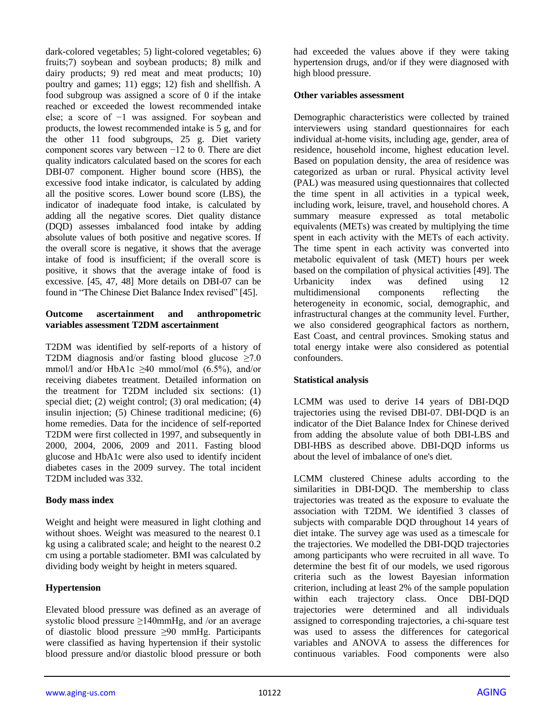dark-colored vegetables; 5) light-colored vegetables; 6) fruits;7) soybean and soybean products; 8) milk and dairy products; 9) red meat and meat products; 10) poultry and games; 11) eggs; 12) fish and shellfish. A food subgroup was assigned a score of 0 if the intake reached or exceeded the lowest recommended intake else; a score of −1 was assigned. For soybean and products, the lowest recommended intake is 5 g, and for the other 11 food subgroups, 25 g. Diet variety component scores vary between −12 to 0. There are diet quality indicators calculated based on the scores for each DBI-07 component. Higher bound score (HBS), the excessive food intake indicator, is calculated by adding all the positive scores. Lower bound score (LBS), the indicator of inadequate food intake, is calculated by adding all the negative scores. Diet quality distance (DQD) assesses imbalanced food intake by adding absolute values of both positive and negative scores. If the overall score is negative, it shows that the average intake of food is insufficient; if the overall score is positive, it shows that the average intake of food is excessive. [45, 47, 48] More details on DBI-07 can be found in "The Chinese Diet Balance Index revised" [45].

#### **Outcome ascertainment and anthropometric variables assessment T2DM ascertainment**

T2DM was identified by self-reports of a history of T2DM diagnosis and/or fasting blood glucose  $\geq 7.0$ mmol/l and/or HbA1c  $\geq$ 40 mmol/mol (6.5%), and/or receiving diabetes treatment. Detailed information on the treatment for T2DM included six sections: (1) special diet; (2) weight control; (3) oral medication; (4) insulin injection; (5) Chinese traditional medicine; (6) home remedies. Data for the incidence of self-reported T2DM were first collected in 1997, and subsequently in 2000, 2004, 2006, 2009 and 2011. Fasting blood glucose and HbA1c were also used to identify incident diabetes cases in the 2009 survey. The total incident T2DM included was 332.

## **Body mass index**

Weight and height were measured in light clothing and without shoes. Weight was measured to the nearest 0.1 kg using a calibrated scale; and height to the nearest 0.2 cm using a portable stadiometer. BMI was calculated by dividing body weight by height in meters squared.

## **Hypertension**

Elevated blood pressure was defined as an average of systolic blood pressure ≥140mmHg, and /or an average of diastolic blood pressure ≥90 mmHg. Participants were classified as having hypertension if their systolic blood pressure and/or diastolic blood pressure or both had exceeded the values above if they were taking hypertension drugs, and/or if they were diagnosed with high blood pressure.

#### **Other variables assessment**

Demographic characteristics were collected by trained interviewers using standard questionnaires for each individual at-home visits, including age, gender, area of residence, household income, highest education level. Based on population density, the area of residence was categorized as urban or rural. Physical activity level (PAL) was measured using questionnaires that collected the time spent in all activities in a typical week, including work, leisure, travel, and household chores. A summary measure expressed as total metabolic equivalents (METs) was created by multiplying the time spent in each activity with the METs of each activity. The time spent in each activity was converted into metabolic equivalent of task (MET) hours per week based on the compilation of physical activities [49]. The Urbanicity index was defined using 12 multidimensional components reflecting the heterogeneity in economic, social, demographic, and infrastructural changes at the community level. Further, we also considered geographical factors as northern, East Coast, and central provinces. Smoking status and total energy intake were also considered as potential confounders.

#### **Statistical analysis**

LCMM was used to derive 14 years of DBI-DQD trajectories using the revised DBI-07. DBI-DQD is an indicator of the Diet Balance Index for Chinese derived from adding the absolute value of both DBI-LBS and DBI-HBS as described above. DBI-DQD informs us about the level of imbalance of one's diet.

LCMM clustered Chinese adults according to the similarities in DBI-DQD. The membership to class trajectories was treated as the exposure to evaluate the association with T2DM. We identified 3 classes of subjects with comparable DQD throughout 14 years of diet intake. The survey age was used as a timescale for the trajectories. We modelled the DBI-DQD trajectories among participants who were recruited in all wave. To determine the best fit of our models, we used rigorous criteria such as the lowest Bayesian information criterion, including at least 2% of the sample population within each trajectory class. Once DBI-DQD trajectories were determined and all individuals assigned to corresponding trajectories, a chi-square test was used to assess the differences for categorical variables and ANOVA to assess the differences for continuous variables. Food components were also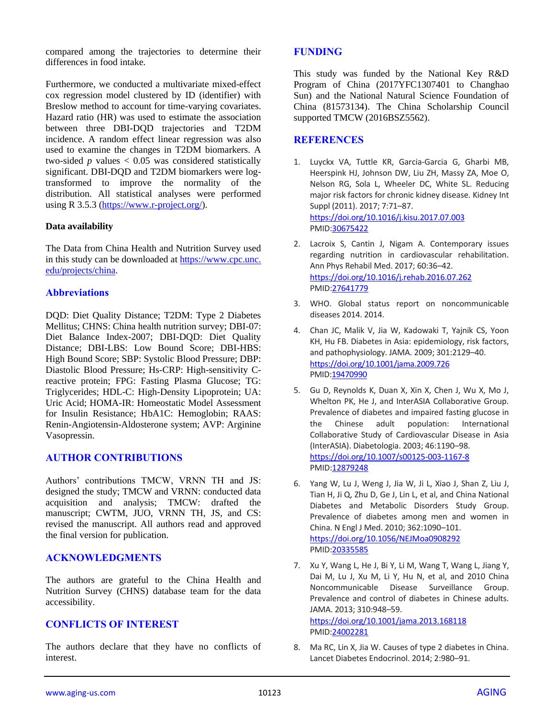compared among the trajectories to determine their differences in food intake.

Furthermore, we conducted a multivariate mixed-effect cox regression model clustered by ID (identifier) with Breslow method to account for time-varying covariates. Hazard ratio (HR) was used to estimate the association between three DBI-DQD trajectories and T2DM incidence. A random effect linear regression was also used to examine the changes in T2DM biomarkers. A two-sided  $p$  values  $< 0.05$  was considered statistically significant. DBI-DQD and T2DM biomarkers were logtransformed to improve the normality of the distribution. All statistical analyses were performed using R 3.5.3 [\(https://www.r-project.org/\)](https://www.r-project.org/).

#### **Data availability**

The Data from China Health and Nutrition Survey used in this study can be downloaded at https://www.cpc.unc. edu/projects/china.

## **Abbreviations**

DQD: Diet Quality Distance; T2DM: Type 2 Diabetes Mellitus; CHNS: China health nutrition survey; DBI-07: Diet Balance Index-2007; DBI-DQD: Diet Quality Distance; DBI-LBS: Low Bound Score; DBI-HBS: High Bound Score; SBP: Systolic Blood Pressure; DBP: Diastolic Blood Pressure; Hs-CRP: High-sensitivity Creactive protein; FPG: Fasting Plasma Glucose; TG: Triglycerides; HDL-C: High-Density Lipoprotein; UA: Uric Acid; HOMA-IR: Homeostatic Model Assessment for Insulin Resistance; HbA1C: Hemoglobin; RAAS: Renin-Angiotensin-Aldosterone system; AVP: Arginine Vasopressin.

#### **AUTHOR CONTRIBUTIONS**

Authors' contributions TMCW, VRNN TH and JS: designed the study; TMCW and VRNN: conducted data acquisition and analysis; TMCW: drafted the manuscript; CWTM, JUO, VRNN TH, JS, and CS: revised the manuscript. All authors read and approved the final version for publication.

#### **ACKNOWLEDGMENTS**

The authors are grateful to the China Health and Nutrition Survey (CHNS) database team for the data accessibility.

## **CONFLICTS OF INTEREST**

The authors declare that they have no conflicts of interest.

#### **FUNDING**

This study was funded by the National Key R&D Program of China (2017YFC1307401 to Changhao Sun) and the National Natural Science Foundation of China (81573134). The China Scholarship Council supported TMCW (2016BSZ5562).

#### **REFERENCES**

- 1. Luyckx VA, Tuttle KR, Garcia-Garcia G, Gharbi MB, Heerspink HJ, Johnson DW, Liu ZH, Massy ZA, Moe O, Nelson RG, Sola L, Wheeler DC, White SL. Reducing major risk factors for chronic kidney disease. Kidney Int Suppl (2011). 2017; 7:71–87. <https://doi.org/10.1016/j.kisu.2017.07.003> PMI[D:30675422](https://pubmed.ncbi.nlm.nih.gov/30675422)
- 2. Lacroix S, Cantin J, Nigam A. Contemporary issues regarding nutrition in cardiovascular rehabilitation. Ann Phys Rehabil Med. 2017; 60:36–42. <https://doi.org/10.1016/j.rehab.2016.07.262> PMI[D:27641779](https://pubmed.ncbi.nlm.nih.gov/27641779)
- 3. WHO. Global status report on noncommunicable diseases 2014. 2014.
- 4. Chan JC, Malik V, Jia W, Kadowaki T, Yajnik CS, Yoon KH, Hu FB. Diabetes in Asia: epidemiology, risk factors, and pathophysiology. JAMA. 2009; 301:2129–40. <https://doi.org/10.1001/jama.2009.726> PMID[:19470990](https://pubmed.ncbi.nlm.nih.gov/19470990)
- 5. Gu D, Reynolds K, Duan X, Xin X, Chen J, Wu X, Mo J, Whelton PK, He J, and InterASIA Collaborative Group. Prevalence of diabetes and impaired fasting glucose in the Chinese adult population: International Collaborative Study of Cardiovascular Disease in Asia (InterASIA). Diabetologia. 2003; 46:1190–98. <https://doi.org/10.1007/s00125-003-1167-8> PMI[D:12879248](https://pubmed.ncbi.nlm.nih.gov/12879248/)
- 6. Yang W, Lu J, Weng J, Jia W, Ji L, Xiao J, Shan Z, Liu J, Tian H, Ji Q, Zhu D, Ge J, Lin L, et al, and China National Diabetes and Metabolic Disorders Study Group. Prevalence of diabetes among men and women in China. N Engl J Med. 2010; 362:1090–101. <https://doi.org/10.1056/NEJMoa0908292> PMI[D:20335585](https://pubmed.ncbi.nlm.nih.gov/20335585)
- 7. Xu Y, Wang L, He J, Bi Y, Li M, Wang T, Wang L, Jiang Y, Dai M, Lu J, Xu M, Li Y, Hu N, et al, and 2010 China Noncommunicable Disease Surveillance Group. Prevalence and control of diabetes in Chinese adults. JAMA. 2013; 310:948–59. <https://doi.org/10.1001/jama.2013.168118> PMI[D:24002281](https://pubmed.ncbi.nlm.nih.gov/24002281)
- 8. Ma RC, Lin X, Jia W. Causes of type 2 diabetes in China. Lancet Diabetes Endocrinol. 2014; 2:980–91.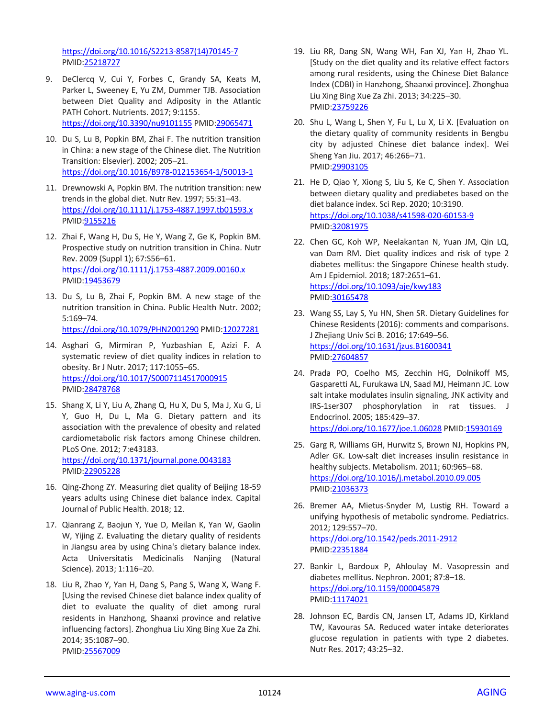[https://doi.org/10.1016/S2213-8587\(14\)70145-7](https://doi.org/10.1016/S2213-8587(14)70145-7) PMID[:25218727](https://pubmed.ncbi.nlm.nih.gov/25218727)

- 9. DeClercq V, Cui Y, Forbes C, Grandy SA, Keats M, Parker L, Sweeney E, Yu ZM, Dummer TJB. Association between Diet Quality and Adiposity in the Atlantic PATH Cohort. Nutrients. 2017; 9:1155. <https://doi.org/10.3390/nu9101155> PMID[:29065471](https://pubmed.ncbi.nlm.nih.gov/29065471/)
- 10. Du S, Lu B, Popkin BM, Zhai F. The nutrition transition in China: a new stage of the Chinese diet. The Nutrition Transition: Elsevier). 2002; 205–21. <https://doi.org/10.1016/B978-012153654-1/50013-1>
- 11. Drewnowski A, Popkin BM. The nutrition transition: new trends in the global diet. Nutr Rev. 1997; 55:31–43. <https://doi.org/10.1111/j.1753-4887.1997.tb01593.x> PMID[:9155216](https://pubmed.ncbi.nlm.nih.gov/9155216)
- 12. Zhai F, Wang H, Du S, He Y, Wang Z, Ge K, Popkin BM. Prospective study on nutrition transition in China. Nutr Rev. 2009 (Suppl 1); 67:S56–61. <https://doi.org/10.1111/j.1753-4887.2009.00160.x> PMID[:19453679](https://pubmed.ncbi.nlm.nih.gov/19453679)
- 13. Du S, Lu B, Zhai F, Popkin BM. A new stage of the nutrition transition in China. Public Health Nutr. 2002; 5:169–74. <https://doi.org/10.1079/PHN2001290> PMID[:12027281](https://pubmed.ncbi.nlm.nih.gov/12027281)
- 14. Asghari G, Mirmiran P, Yuzbashian E, Azizi F. A systematic review of diet quality indices in relation to obesity. Br J Nutr. 2017; 117:1055–65. <https://doi.org/10.1017/S0007114517000915> PMID[:28478768](https://pubmed.ncbi.nlm.nih.gov/28478768)
- 15. Shang X, Li Y, Liu A, Zhang Q, Hu X, Du S, Ma J, Xu G, Li Y, Guo H, Du L, Ma G. Dietary pattern and its association with the prevalence of obesity and related cardiometabolic risk factors among Chinese children. PLoS One. 2012; 7:e43183. <https://doi.org/10.1371/journal.pone.0043183> PMID[:22905228](https://pubmed.ncbi.nlm.nih.gov/22905228)
- 16. Qing-Zhong ZY. Measuring diet quality of Beijing 18-59 years adults using Chinese diet balance index. Capital Journal of Public Health. 2018; 12.
- 17. Qianrang Z, Baojun Y, Yue D, Meilan K, Yan W, Gaolin W, Yijing Z. Evaluating the dietary quality of residents in Jiangsu area by using China's dietary balance index. Acta Universitatis Medicinalis Nanjing (Natural Science). 2013; 1:116–20.
- 18. Liu R, Zhao Y, Yan H, Dang S, Pang S, Wang X, Wang F. [Using the revised Chinese diet balance index quality of diet to evaluate the quality of diet among rural residents in Hanzhong, Shaanxi province and relative influencing factors]. Zhonghua Liu Xing Bing Xue Za Zhi. 2014; 35:1087–90. PMID[:25567009](https://pubmed.ncbi.nlm.nih.gov/25567009)
- 19. Liu RR, Dang SN, Wang WH, Fan XJ, Yan H, Zhao YL. [Study on the diet quality and its relative effect factors among rural residents, using the Chinese Diet Balance Index (CDBI) in Hanzhong, Shaanxi province]. Zhonghua Liu Xing Bing Xue Za Zhi. 2013; 34:225–30. PMI[D:23759226](https://pubmed.ncbi.nlm.nih.gov/23759226/)
- 20. Shu L, Wang L, Shen Y, Fu L, Lu X, Li X. [Evaluation on the dietary quality of community residents in Bengbu city by adjusted Chinese diet balance index]. Wei Sheng Yan Jiu. 2017; 46:266–71. PMI[D:29903105](https://pubmed.ncbi.nlm.nih.gov/29903105)
- 21. He D, Qiao Y, Xiong S, Liu S, Ke C, Shen Y. Association between dietary quality and prediabetes based on the diet balance index. Sci Rep. 2020; 10:3190. <https://doi.org/10.1038/s41598-020-60153-9> PMI[D:32081975](https://pubmed.ncbi.nlm.nih.gov/32081975)
- 22. Chen GC, Koh WP, Neelakantan N, Yuan JM, Qin LQ, van Dam RM. Diet quality indices and risk of type 2 diabetes mellitus: the Singapore Chinese health study. Am J Epidemiol. 2018; 187:2651–61. <https://doi.org/10.1093/aje/kwy183> PMI[D:30165478](https://pubmed.ncbi.nlm.nih.gov/30165478)
- 23. Wang SS, Lay S, Yu HN, Shen SR. Dietary Guidelines for Chinese Residents (2016): comments and comparisons. J Zhejiang Univ Sci B. 2016; 17:649–56. <https://doi.org/10.1631/jzus.B1600341> PMI[D:27604857](https://pubmed.ncbi.nlm.nih.gov/27604857/)
- 24. Prada PO, Coelho MS, Zecchin HG, Dolnikoff MS, Gasparetti AL, Furukawa LN, Saad MJ, Heimann JC. Low salt intake modulates insulin signaling, JNK activity and IRS-1ser307 phosphorylation in rat tissues. J Endocrinol. 2005; 185:429–37. <https://doi.org/10.1677/joe.1.06028> PMID[:15930169](https://pubmed.ncbi.nlm.nih.gov/15930169)
- 25. Garg R, Williams GH, Hurwitz S, Brown NJ, Hopkins PN, Adler GK. Low-salt diet increases insulin resistance in healthy subjects. Metabolism. 2011; 60:965–68. <https://doi.org/10.1016/j.metabol.2010.09.005> PMI[D:21036373](https://pubmed.ncbi.nlm.nih.gov/21036373)
- 26. Bremer AA, Mietus-Snyder M, Lustig RH. Toward a unifying hypothesis of metabolic syndrome. Pediatrics. 2012; 129:557–70. <https://doi.org/10.1542/peds.2011-2912> PMI[D:22351884](https://pubmed.ncbi.nlm.nih.gov/22351884)
- 27. Bankir L, Bardoux P, Ahloulay M. Vasopressin and diabetes mellitus. Nephron. 2001; 87:8–18. <https://doi.org/10.1159/000045879> PMI[D:11174021](https://pubmed.ncbi.nlm.nih.gov/11174021)
- 28. Johnson EC, Bardis CN, Jansen LT, Adams JD, Kirkland TW, Kavouras SA. Reduced water intake deteriorates glucose regulation in patients with type 2 diabetes. Nutr Res. 2017; 43:25–32.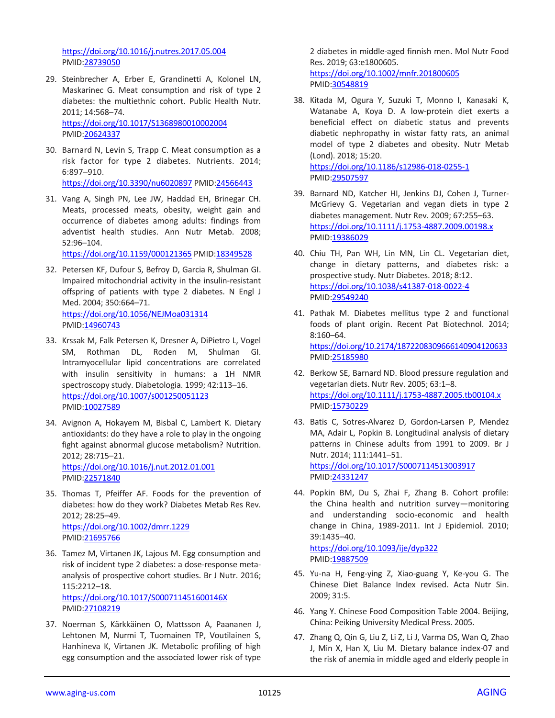<https://doi.org/10.1016/j.nutres.2017.05.004> PMID[:28739050](https://pubmed.ncbi.nlm.nih.gov/28739050)

- 29. Steinbrecher A, Erber E, Grandinetti A, Kolonel LN, Maskarinec G. Meat consumption and risk of type 2 diabetes: the multiethnic cohort. Public Health Nutr. 2011; 14:568–74. <https://doi.org/10.1017/S1368980010002004> PMID[:20624337](https://pubmed.ncbi.nlm.nih.gov/20624337)
- 30. Barnard N, Levin S, Trapp C. Meat consumption as a risk factor for type 2 diabetes. Nutrients. 2014; 6:897–910. <https://doi.org/10.3390/nu6020897> PMID[:24566443](https://pubmed.ncbi.nlm.nih.gov/24566443)
- 31. Vang A, Singh PN, Lee JW, Haddad EH, Brinegar CH. Meats, processed meats, obesity, weight gain and occurrence of diabetes among adults: findings from adventist health studies. Ann Nutr Metab. 2008; 52:96–104.

<https://doi.org/10.1159/000121365> PMID[:18349528](https://pubmed.ncbi.nlm.nih.gov/18349528)

- 32. Petersen KF, Dufour S, Befroy D, Garcia R, Shulman GI. Impaired mitochondrial activity in the insulin-resistant offspring of patients with type 2 diabetes. N Engl J Med. 2004; 350:664–71. <https://doi.org/10.1056/NEJMoa031314> PMID: 14960743
- 33. Krssak M, Falk Petersen K, Dresner A, DiPietro L, Vogel SM, Rothman DL, Roden M, Shulman GI. Intramyocellular lipid concentrations are correlated with insulin sensitivity in humans: a 1H NMR spectroscopy study. Diabetologia. 1999; 42:113–16. <https://doi.org/10.1007/s001250051123> PMID[:10027589](https://pubmed.ncbi.nlm.nih.gov/10027589)
- 34. Avignon A, Hokayem M, Bisbal C, Lambert K. Dietary antioxidants: do they have a role to play in the ongoing fight against abnormal glucose metabolism? Nutrition. 2012; 28:715–21. <https://doi.org/10.1016/j.nut.2012.01.001> PMID[:22571840](https://pubmed.ncbi.nlm.nih.gov/22571840)
- 35. Thomas T, Pfeiffer AF. Foods for the prevention of diabetes: how do they work? Diabetes Metab Res Rev. 2012; 28:25–49. <https://doi.org/10.1002/dmrr.1229> PMID[:21695766](https://pubmed.ncbi.nlm.nih.gov/21695766)
- 36. Tamez M, Virtanen JK, Lajous M. Egg consumption and risk of incident type 2 diabetes: a dose-response metaanalysis of prospective cohort studies. Br J Nutr. 2016; 115:2212–18. <https://doi.org/10.1017/S000711451600146X> PMID[:27108219](https://pubmed.ncbi.nlm.nih.gov/27108219)
- 37. Noerman S, Kärkkäinen O, Mattsson A, Paananen J, Lehtonen M, Nurmi T, Tuomainen TP, Voutilainen S, Hanhineva K, Virtanen JK. Metabolic profiling of high egg consumption and the associated lower risk of type

2 diabetes in middle-aged finnish men. Mol Nutr Food Res. 2019; 63:e1800605.

<https://doi.org/10.1002/mnfr.201800605> PMI[D:30548819](https://pubmed.ncbi.nlm.nih.gov/30548819)

- 38. Kitada M, Ogura Y, Suzuki T, Monno I, Kanasaki K, Watanabe A, Koya D. A low-protein diet exerts a beneficial effect on diabetic status and prevents diabetic nephropathy in wistar fatty rats, an animal model of type 2 diabetes and obesity. Nutr Metab (Lond). 2018; 15:20. <https://doi.org/10.1186/s12986-018-0255-1> PMI[D:29507597](https://pubmed.ncbi.nlm.nih.gov/29507597)
- 39. Barnard ND, Katcher HI, Jenkins DJ, Cohen J, Turner-McGrievy G. Vegetarian and vegan diets in type 2 diabetes management. Nutr Rev. 2009; 67:255–63. <https://doi.org/10.1111/j.1753-4887.2009.00198.x> PMI[D:19386029](https://pubmed.ncbi.nlm.nih.gov/19386029)
- 40. Chiu TH, Pan WH, Lin MN, Lin CL. Vegetarian diet, change in dietary patterns, and diabetes risk: a prospective study. Nutr Diabetes. 2018; 8:12. <https://doi.org/10.1038/s41387-018-0022-4> PMI[D:29549240](https://pubmed.ncbi.nlm.nih.gov/29549240)
- 41. Pathak M. Diabetes mellitus type 2 and functional foods of plant origin. Recent Pat Biotechnol. 2014; 8:160–64. <https://doi.org/10.2174/1872208309666140904120633> PMI[D:25185980](https://pubmed.ncbi.nlm.nih.gov/25185980)
- 42. Berkow SE, Barnard ND. Blood pressure regulation and vegetarian diets. Nutr Rev. 2005; 63:1–8. <https://doi.org/10.1111/j.1753-4887.2005.tb00104.x> PMI[D:15730229](https://pubmed.ncbi.nlm.nih.gov/15730229)
- 43. Batis C, Sotres-Alvarez D, Gordon-Larsen P, Mendez MA, Adair L, Popkin B. Longitudinal analysis of dietary patterns in Chinese adults from 1991 to 2009. Br J Nutr. 2014; 111:1441–51. <https://doi.org/10.1017/S0007114513003917> PMI[D:24331247](https://pubmed.ncbi.nlm.nih.gov/24331247)
- 44. Popkin BM, Du S, Zhai F, Zhang B. Cohort profile: the China health and nutrition survey—monitoring and understanding socio-economic and health change in China, 1989-2011. Int J Epidemiol. 2010; 39:1435–40. <https://doi.org/10.1093/ije/dyp322>

PMI[D:19887509](https://pubmed.ncbi.nlm.nih.gov/19887509)

- 45. Yu-na H, Feng-ying Z, Xiao-guang Y, Ke-you G. The Chinese Diet Balance Index revised. Acta Nutr Sin. 2009; 31:5.
- 46. Yang Y. Chinese Food Composition Table 2004. Beijing, China: Peiking University Medical Press. 2005.
- 47. Zhang Q, Qin G, Liu Z, Li Z, Li J, Varma DS, Wan Q, Zhao J, Min X, Han X, Liu M. Dietary balance index-07 and the risk of anemia in middle aged and elderly people in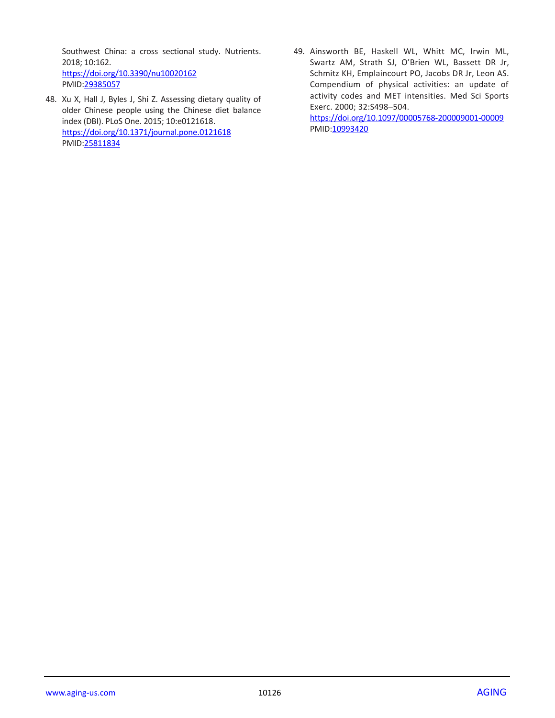Southwest China: a cross sectional study. Nutrients. 2018; 10:162. <https://doi.org/10.3390/nu10020162> PMID[:29385057](https://pubmed.ncbi.nlm.nih.gov/29385057)

- 48. Xu X, Hall J, Byles J, Shi Z. Assessing dietary quality of older Chinese people using the Chinese diet balance index (DBI). PLoS One. 2015; 10:e0121618. <https://doi.org/10.1371/journal.pone.0121618> PMID[:25811834](https://pubmed.ncbi.nlm.nih.gov/25811834)
- 49. Ainsworth BE, Haskell WL, Whitt MC, Irwin ML, Swartz AM, Strath SJ, O'Brien WL, Bassett DR Jr, Schmitz KH, Emplaincourt PO, Jacobs DR Jr, Leon AS. Compendium of physical activities: an update of activity codes and MET intensities. Med Sci Sports Exerc. 2000; 32:S498–504.

<https://doi.org/10.1097/00005768-200009001-00009> PMID: 10993420